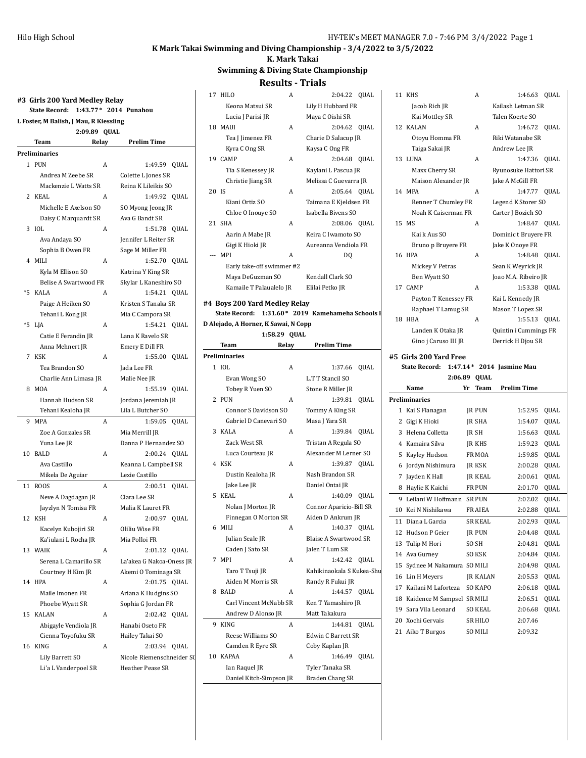#### **K Mark Takai Swimming and Diving Championship - 3/4/2022 to 3/5/2022 K. Mark Takai**

### **#3 Girls 200 Yard Medley Relay State Record: 1:43.77\* 2014 Punahou L Foster, M Balish, J Mau, R Kiessling 2:09.89 QUAL Team Relay Prelim Time Preliminaries** 1 PUN A 1:49.59 OUAL Andrea M Zeebe SR Colette L Jones SR Mackenzie L Watts SR Reina K Lileikis SO 2 KEAL A 1:49.92 QUAL Michelle E Axelson SO SO Myong Jeong JR Daisy C Marquardt SR Ava G Bandt SR 3 IOL A 1:51.78 QUAL Ava Andaya SO Jennifer L Reiter SR Sophia B Owen FR Sage M Miller FR 4 MILI A 1:52.70 QUAL Kyla M Ellison SO Katrina Y King SR Belise A Swartwood FR Skylar L Kaneshiro SO \*5 KALA A 1:54.21 QUAL Paige A Heiken SO Kristen S Tanaka SR Tehani L Kong JR Mia C Campora SR \*5 LJA A 1:54.21 QUAL Catie E Ferandin JR Lana K Ravelo SR Anna Mehnert JR Emery E Dill FR 7 KSK A 1:55.00 OUAL Tea Brandon SO Jada Lee FR Charlie Ann Limasa JR Malie Nee JR 8 MOA A 1:55.19 QUAL Hannah Hudson SR Jordana Jeremiah JR Tehani Kealoha JR Lila L Butcher SO 9 MPA <br>
A 1:59.05 QUAL Zoe A Gonzales SR Mia Merrill JR Yuna Lee JR Danna P Hernandez SO 10 BALD A 2:00.24 QUAL Ava Castillo Keanna L Campbell SR Mikela De Aguiar Lexie Castillo 11 ROOS A 2:00.51 QUAL Neve A Dagdagan JR Clara Lee SR Jayzlyn N Tomisa FR Malia K Lauret FR 12 KSH A 2:00.97 QUAL Kacelyn Kubojiri SR Oliliu Wise FR Ka'iulani L Rocha JR Mia Polloi FR 13 WAIK A 2:01.12 QUAL Serena L Camarillo SR La'akea G Nakoa-Oness JR Courtney H Kim JR Akemi O Tominaga SR 14 HPA <br>
A 2:01.75 OUAL Maile Imonen FR Ariana K Hudgins SO Phoebe Wyatt SR Sophia G Jordan FR 15 KALAN <br>A 2:02.42 QUAL Abigayle Vendiola JR Hanabi Oseto FR Cienna Toyofuku SR Hailey Takai SO 16 KING A 2:03.94 QUAL Lily Barrett SO Nicole Riemenschneider SO Li'a L Vanderpoel SR Heather Pease SR

#### **Swimming & Diving State Championshjp Results - Trials** 17 HILO A 2:04.22 QUAL Keona Matsui SR Lily H Hubbard FR Lucia J Parisi JR Maya C Oishi SR 18 MAUI A 2:04.62 QUAL Tea J Jimenez FR Charie D Salacup JR Kyra C Ong SR Kaysa C Ong FR 19 CAMP A 2:04.68 QUAL Tia S Kenessey JR Kaylani L Pascua JR Christie Jiang SR Melissa C Guevarra JR 20 IS A 2:05.64 QUAL Kiani Ortiz SO Taimana E Kjeldsen FR Chloe O Inouye SO Isabella Bivens SO 21 SHA A 2:08.06 QUAL Aarin A Mabe JR Keira C Iwamoto SO Gigi K Hioki JR Aureanna Vendiola FR --- MPI A DO Early take-off swimmer #2 Maya DeGuzman SO Kendall Clark SO Kamaile T Palaualelo JR Elilai Petko JR **#4 Boys 200 Yard Medley Relay State Record:** 1:31.60\* 2019 **Kamehameha Schools D Alejado, A Horner, K Sawai, N Copp 1:58.29 QUAL Team Relay Prelim Time Preliminaries** 1 IOL A 1:37.66 QUAL Evan Wong SO L.T T Stancil SO Tobey R Yuen SO Stone R Miller JR 2 PUN A 1:39.81 QUAL Connor S Davidson SO Tommy A King SR Gabriel D Canevari SO Masa J Yara SR 3 KALA <br>
A 1:39.84 QUAL Zack West SR Tristan A Regula SO Luca Courteau JR Alexander M Lerner SO 4 KSK A 1:39.87 QUAL Dustin Kealoha JR Nash Brandon SR Jake Lee JR Daniel Ontai JR 5 KEAL A 1:40.09 QUAL Nolan J Morton JR Connor Aparicio-Bill SR Finnegan O Morton SR Aiden D Ankrum JR 6 MILI A 1:40.37 QUAL Julian Seale JR Blaise A Swartwood SR

|   | Jake Lee JR            |   | Daniel Ontai JR              |
|---|------------------------|---|------------------------------|
|   | 5 KEAL                 | A | 1:40.09 QUAL                 |
|   | Nolan J Morton JR      |   | Connor Aparicio-Bill SR      |
|   | Finnegan O Morton SR   |   | Aiden D Ankrum JR            |
|   | 6 MILI                 | A | 1:40.37 QUAL                 |
|   | Julian Seale JR        |   | <b>Blaise A Swartwood SR</b> |
|   | Caden J Sato SR        |   | Jalen T Lum SR               |
|   | 7 MPI                  | A | 1:42.42 QUAL                 |
|   | Taro T Tsuji JR        |   | Kahikinaokala S Kukea-Shu    |
|   | Aiden M Morris SR      |   | Randy R Fukui JR             |
| 8 | <b>BALD</b>            | A | 1:44.57 QUAL                 |
|   | Carl Vincent McNabb SR |   | Ken T Yamashiro JR           |
|   | Andrew D Alonso JR     |   | Matt Takakura                |
|   | 9 KING                 | A | 1:44.81<br><b>QUAL</b>       |
|   | Reese Williams SO      |   | Edwin C Barrett SR           |
|   | Camden R Eyre SR       |   | Coby Kaplan JR               |
|   | 10 KAPAA               | A | <b>QUAL</b><br>1:46.49       |
|   | Ian Raquel JR          |   | Tyler Tanaka SR              |

Daniel Kitch-Simpson JR Braden Chang SR

|    | <b>11 KHS</b>        | A | 1:46.63 OUAL          |  |
|----|----------------------|---|-----------------------|--|
|    | Jacob Rich JR        |   | Kailash Letman SR     |  |
|    | Kai Mottley SR       |   | Talen Koerte SO       |  |
|    | 12 KALAN             | A | 1:46.72 QUAL          |  |
|    | Otoyu Homma FR       |   | Riki Watanabe SR      |  |
|    | Taiga Sakai JR       |   | Andrew Lee JR         |  |
|    | 13 LUNA              | A | 1:47.36 OUAL          |  |
|    | Maxx Cherry SR       |   | Ryunosuke Hattori SR  |  |
|    | Maison Alexander JR  |   | Jake A McGill FR      |  |
|    | 14 MPA               | A | 1:47.77 OUAL          |  |
|    | Renner T Chumley FR  |   | Legend K Storer SO    |  |
|    | Noah K Caiserman FR  |   | Carter J Bozich SO    |  |
|    | 15 MS                | A | 1:48.47 QUAL          |  |
|    | Kai k Aus SO         |   | Dominic t Bruyere FR  |  |
|    | Bruno p Bruyere FR   |   | Jake K Onove FR       |  |
|    | 16 HPA               | A | 1:48.48 OUAL          |  |
|    | Mickey V Petras      |   | Sean K Weyrick JR     |  |
|    | Ben Wyatt SO         |   | Joao M.A. Ribeiro JR  |  |
|    | 17 CAMP              | A | 1:53.38 QUAL          |  |
|    | Payton T Kenessey FR |   | Kai L Kennedy JR      |  |
|    | Raphael T Lamug SR   |   | Mason T Lopez SR      |  |
| 18 | <b>HBA</b>           | A | 1:55.13 OUAL          |  |
|    | Landen K Otaka JR    |   | Quintin i Cummings FR |  |
|    | Gino j Caruso III JR |   | Derrick H Djou SR     |  |
|    |                      |   |                       |  |

#### **#5 Girls 200 Yard Free**

#### **State Record: 1:47.14\* 2014 Jasmine Mau**

|                | 2:06.89                    |    | <b>OUAL</b>      |                    |             |
|----------------|----------------------------|----|------------------|--------------------|-------------|
|                | Name                       | Yr | <b>Team</b>      | <b>Prelim Time</b> |             |
|                | Preliminaries              |    |                  |                    |             |
| 1              | Kai S Flanagan             |    | <b>JR PUN</b>    | 1:52.95            | <b>OUAL</b> |
| $\overline{c}$ | Gigi K Hioki               |    | <b>IR SHA</b>    | 1:54.07            | <b>QUAL</b> |
| 3              | Helena Colletta            |    | <b>IR SH</b>     | 1:56.63            | <b>QUAL</b> |
| 4              | Kamaira Silva              |    | <b>IR KHS</b>    | 1:59.23            | <b>OUAL</b> |
| 5              | Kayley Hudson              |    | FR MOA           | 1:59.85            | <b>QUAL</b> |
| 6              | Jordyn Nishimura           |    | <b>IR KSK</b>    | 2:00.28            | <b>OUAL</b> |
| 7              | Jayden K Hall              |    | <b>IR KEAL</b>   | 2:00.61            | <b>OUAL</b> |
| 8              | Haylie K Kaichi            |    | <b>FR PUN</b>    | 2:01.70            | QUAL        |
| 9              | Leilani W Hoffmann         |    | <b>SR PUN</b>    | 2:02.02            | <b>OUAL</b> |
| 10             | Kei N Nishikawa            |    | FR AIEA          | 2:02.88            | <b>QUAL</b> |
| 11             | Diana L Garcia             |    | <b>SR KEAL</b>   | 2:02.93            | <b>OUAL</b> |
| 12             | Hudson P Geier             |    | <b>IR PUN</b>    | 2:04.48            | <b>OUAL</b> |
| 13             | Tulip M Hori               |    | SO <sub>SH</sub> | 2:04.81            | <b>QUAL</b> |
| 14             | Ava Gurney                 |    | <b>SO KSK</b>    | 2:04.84            | <b>OUAL</b> |
| 15             | Sydnee M Nakamura SO MILI  |    |                  | 2:04.98            | QUAL        |
| 16             | Lin H Meyers               |    | <b>JR KALAN</b>  | 2:05.53            | <b>QUAL</b> |
| 17             | Kailani M Laforteza        |    | <b>SO KAPO</b>   | 2:06.18            | <b>OUAL</b> |
| 18             | Kaidence M Sampsel SR MILI |    |                  | 2:06.51            | <b>OUAL</b> |
| 19             | Sara Vila Leonard          |    | SO KEAL          | 2:06.68            | QUAL        |
| 20             | Xochi Gervais              |    | <b>SR HILO</b>   | 2:07.46            |             |
| 21             | Aiko T Burgos              |    | <b>SO MILI</b>   | 2:09.32            |             |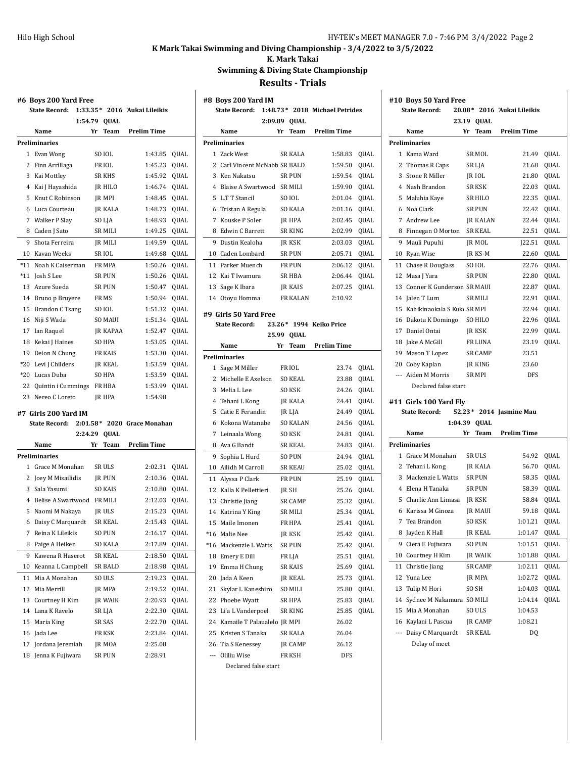**K. Mark Takai**

**Swimming & Diving State Championshjp**

|          | #6  Boys 200 Yard Free<br><b>State Record:</b><br>$1:33.35*$ |         |                  | 2016 'Aukai Lileikis        |      |
|----------|--------------------------------------------------------------|---------|------------------|-----------------------------|------|
|          | 1:54.79                                                      |         | <b>OUAL</b>      |                             |      |
|          | Name                                                         | Yr      | Team             | <b>Prelim Time</b>          |      |
|          | Preliminaries                                                |         |                  |                             |      |
|          | 1 Evan Wong                                                  |         | SO IOL           | 1:43.85                     | QUAL |
|          | 2 Finn Arrillaga                                             |         | FR IOL           | 1:45.23                     | QUAL |
|          | 3 Kai Mottley                                                |         | <b>SR KHS</b>    | 1:45.92                     | QUAL |
|          | 4 Kai J Hayashida                                            |         | <b>IR HILO</b>   | 1:46.74                     | QUAL |
|          | 5 Knut C Robinson                                            |         | <b>IR MPI</b>    | 1:48.45                     | QUAL |
|          | 6 Luca Courteau                                              |         | JR KALA          | 1:48.73                     | QUAL |
|          | 7 Walker P Slay                                              |         | SO LJA           | 1:48.93                     | QUAL |
|          | 8 Caden J Sato                                               |         | SR MILI          | 1:49.25                     | QUAL |
|          | 9 Shota Ferreira                                             |         | <b>IR MILI</b>   | 1:49.59                     | QUAL |
|          | 10 Kavan Weeks                                               |         | SR IOL           | 1:49.68                     | QUAL |
| $*11$    | Noah K Caiserman                                             |         | FR MPA           | 1:50.26                     | QUAL |
|          | *11 Josh S Lee                                               |         | <b>SR PUN</b>    | 1:50.26                     | QUAL |
|          | 13 Azure Sueda                                               |         | <b>SR PUN</b>    | 1:50.47                     | QUAL |
|          | 14 Bruno p Bruyere                                           |         | FR MS            | 1:50.94                     | QUAL |
|          | 15 Brandon C Tsang                                           |         | SO IOL           | 1:51.32                     | QUAL |
|          | 16 Niji S Wada                                               |         | <b>SO MAUI</b>   | 1:51.34                     | QUAL |
|          | 17 Ian Raquel                                                |         | JR KAPAA         | 1:52.47                     | QUAL |
|          | 18 Kekai J Haines                                            |         | <b>SO HPA</b>    | 1:53.05                     | QUAL |
|          | 19 Deion N Chung                                             |         | <b>FR KAIS</b>   | 1:53.30                     | QUAL |
|          | *20 Levi J Childers                                          |         | <b>IR KEAL</b>   | 1:53.59                     | QUAL |
|          | *20 Lucas Duba                                               |         | <b>SO HPA</b>    | 1:53.59                     | QUAL |
|          | 22 Quintin i Cummings                                        |         | FR HBA           | 1:53.99                     | QUAL |
|          | 23 Nereo C Loreto                                            |         | <b>IR HPA</b>    | 1:54.98                     |      |
|          |                                                              |         |                  |                             |      |
|          | #7  Girls 200 Yard IM                                        |         |                  |                             |      |
|          | <b>State Record:</b>                                         |         |                  | 2:01.58* 2020 Grace Monahan |      |
|          |                                                              |         |                  |                             |      |
|          |                                                              | 2:24.29 | QUAL             |                             |      |
|          | Name                                                         | Yr      | Team             | <b>Prelim Time</b>          |      |
|          | Preliminaries                                                |         |                  |                             |      |
|          | 1 Grace M Monahan                                            |         | SR ULS           | 2:02.31                     | QUAL |
|          | 2 Joey M Misailidis                                          |         | JR PUN           | 2:10.36                     | QUAL |
|          | 3 Sala Yasumi                                                |         | <b>SO KAIS</b>   | 2:10.80                     | QUAL |
|          | 4 Belise A Swartwood                                         |         | FR MILI          | 2:12.03                     | QUAL |
|          | 5 Naomi M Nakaya                                             |         | <b>IR ULS</b>    | 2:15.23                     | QUAL |
|          | 6 Daisy C Marquardt                                          |         | SR KEAL          | 2:15.43                     | QUAL |
| 7        | Reina K Lileikis                                             |         | SO PUN           | 2:16.17                     | QUAL |
| 8        | Paige A Heiken                                               |         | <b>SO KALA</b>   | 2:17.89                     | QUAL |
| 9        | Kawena R Haserot                                             |         | SR KEAL          | 2:18.50                     | QUAL |
| 10       | Keanna L Campbell                                            |         | <b>SR BALD</b>   | 2:18.98                     | QUAL |
| 11       | Mia A Monahan                                                |         | SO ULS           | 2:19.23                     | QUAL |
| 12       | Mia Merrill                                                  |         | <b>IR MPA</b>    | 2:19.52                     | QUAL |
| 13       | Courtney H Kim                                               |         | JR WAIK          | 2:20.93                     | QUAL |
|          | 14 Lana K Ravelo                                             |         | SR LJA           | 2:22.30                     | QUAL |
|          | 15 Maria King                                                |         | SR SAS           | 2:22.70                     | QUAL |
|          | 16 Jada Lee                                                  |         | FR KSK           | 2:23.84                     | QUAL |
| 17<br>18 | Jordana Jeremiah<br>Jenna K Fujiwara                         |         | JR MOA<br>SR PUN | 2:25.08<br>2:28.91          |      |

|       | #8 Boys 200 Yard IM                |    |                 |                         |             |
|-------|------------------------------------|----|-----------------|-------------------------|-------------|
|       | <b>State Record:</b><br>$1:48.73*$ |    |                 | 2018 Michael Petrides   |             |
|       | 2:09.89                            |    | QUAL            |                         |             |
|       | Name                               | Yr | Team            | Prelim Time             |             |
|       | <b>Preliminaries</b>               |    |                 |                         |             |
| 1     | Zack West                          |    | <b>SR KALA</b>  | 1:58.83                 | QUAL        |
| 2     | Carl Vincent McNabb SR BALD        |    |                 | 1:59.50                 | QUAL        |
| 3     | Ken Nakatsu                        |    | <b>SR PUN</b>   | 1:59.54                 | QUAL        |
| 4     | Blaise A Swartwood                 |    | <b>SR MILI</b>  | 1:59.90                 | QUAL        |
| 5     | L.T T Stancil                      |    | SO IOL          | 2:01.04                 | QUAL        |
| 6     | Tristan A Regula                   |    | <b>SO KALA</b>  | 2:01.16                 | QUAL        |
| 7     | Kouske P Soler                     |    | JR HPA          | 2:02.45                 | QUAL        |
| 8     | <b>Edwin C Barrett</b>             |    | SR KING         | 2:02.99                 | QUAL        |
| 9     | Dustin Kealoha                     |    | JR KSK          | 2:03.03                 | QUAL        |
|       | 10 Caden Lombard                   |    | SR PUN          | 2:05.71                 | QUAL        |
|       | 11 Parker Muench                   |    | FR PUN          | 2:06.12                 | QUAL        |
| 12    | Kai T Iwamura                      |    | SR HBA          | 2:06.44                 | QUAL        |
| 13    | Sage K Ibara                       |    | JR KAIS         | 2:07.25                 | QUAL        |
| 14    | Otoyu Homma                        |    | FR KALAN        | 2:10.92                 |             |
|       | #9 Girls 50 Yard Free              |    |                 |                         |             |
|       | <b>State Record:</b>               |    |                 | 23.26* 1994 Keiko Price |             |
|       | 25.99                              |    | <b>QUAL</b>     |                         |             |
|       | Name                               | Yr | Team            | Prelim Time             |             |
|       | <b>Preliminaries</b>               |    |                 |                         |             |
| 1     | Sage M Miller                      |    | FR IOL          | 23.74                   | QUAL        |
|       | 2 Michelle E Axelson               |    | <b>SO KEAL</b>  | 23.88                   | QUAL        |
| 3     | Melia L Lee                        |    | <b>SO KSK</b>   | 24.26                   | QUAL        |
| 4     | Tehani L Kong                      |    | <b>JR KALA</b>  | 24.41                   | QUAL        |
| 5     | Catie E Ferandin                   |    | JR LJA          | 24.49                   | QUAL        |
| 6     | Kokona Watanabe                    |    | <b>SO KALAN</b> | 24.56                   | QUAL        |
| 7     | Leinaala Wong                      |    | SO KSK          | 24.81                   | QUAL        |
|       | 8 Ava G Bandt                      |    | SR KEAL         | 24.83                   | QUAL        |
| 9     | Sophia L Hurd                      |    | <b>SO PUN</b>   | 24.94                   | QUAL        |
|       | 10 Ailidh M Carroll                |    | <b>SR KEAU</b>  | 25.02                   | QUAL        |
| 11    | Alyssa P Clark                     |    | <b>FR PUN</b>   | 25.19                   | QUAL        |
| 12    | Kalla K Pellettieri                |    | JR SH           | 25.26                   | QUAL        |
| 13    | Christie Jiang                     |    | <b>SR CAMP</b>  | 25.32                   | QUAL        |
| 14    | Katrina Y King                     |    | SR MILI         | 25.34                   | QUAL        |
| 15    | Maile Imonen                       |    | FR HPA          | 25.41                   | QUAL        |
| $*16$ | Malie Nee                          |    | <b>IR KSK</b>   | 25.42                   | <b>OUAL</b> |
|       | *16 Mackenzie L Watts              |    | <b>SR PUN</b>   | 25.42                   | QUAL        |
|       | 18 Emery E Dill                    |    | FR LJA          | 25.51                   | QUAL        |
| 19    | Emma H Chung                       |    | SR KAIS         | 25.69                   | QUAL        |
| 20    | Jada A Keen                        |    | JR KEAL         | 25.73                   | QUAL        |
| 21    | Skylar L Kaneshiro                 |    | <b>SO MILI</b>  | 25.80                   | QUAL        |
|       | 22 Phoebe Wyatt                    |    | SR HPA          | 25.83                   | <b>OUAL</b> |
| 23    | Li'a L Vanderpoel                  |    | <b>SR KING</b>  | 25.85                   | QUAL        |
|       | 24 Kamaile T Palaualelo JR MPI     |    |                 | 26.02                   |             |
| 25    | Kristen S Tanaka                   |    | <b>SR KALA</b>  | 26.04                   |             |
|       | 26 Tia S Kenessey                  |    | JR CAMP         | 26.12                   |             |
|       | --- Oliliu Wise                    |    | FR KSH          | DFS                     |             |
|       | Declared false start               |    |                 |                         |             |
|       |                                    |    |                 |                         |             |

|     | #10 Boys 50 Yard Free           |    |                 |                             |      |
|-----|---------------------------------|----|-----------------|-----------------------------|------|
|     | <b>State Record:</b>            |    |                 | 20.08* 2016 'Aukai Lileikis |      |
|     | 23.19                           |    | <b>QUAL</b>     |                             |      |
|     | Name                            | Yr | Team            | <b>Prelim Time</b>          |      |
|     | <b>Preliminaries</b>            |    |                 |                             |      |
| 1   | Kama Ward                       |    | SR MOL          | 21.49                       | QUAL |
| 2   | Thomas R Caps                   |    | SR LJA          | 21.68                       | QUAL |
| 3   | Stone R Miller                  |    | JR IOL          | 21.80                       | QUAL |
| 4   | Nash Brandon                    |    | <b>SR KSK</b>   | 22.03                       | QUAL |
| 5   | Maluhia Kaye                    |    | SR HILO         | 22.35                       | QUAL |
| 6   | Noa Clark                       |    | <b>SR PUN</b>   | 22.42                       | QUAL |
| 7   | Andrew Lee                      |    | <b>JR KALAN</b> | 22.44                       | QUAL |
| 8   | Finnegan O Morton               |    | SR KEAL         | 22.51                       | QUAL |
| 9   | Mauli Pupuhi                    |    | JR MOL          | ]22.51                      | QUAL |
| 10  | Ryan Wise                       |    | JR KS-M         | 22.60                       | QUAL |
| 11  | Chase R Douglass                |    | SO IOL          | 22.76                       | QUAL |
| 12  | Masa J Yara                     |    | <b>SR PUN</b>   | 22.80                       | QUAL |
| 13  | Conner K Gunderson SR MAUI      |    |                 | 22.87                       | QUAL |
| 14  | Jalen T Lum                     |    | SR MILI         | 22.91                       | QUAL |
| 15  | Kahikinaokala S Kuko SR MPI     |    |                 | 22.94                       | QUAL |
| 16  | Dakota K Domingo                |    | SO HILO         | 22.96                       | QUAL |
| 17  | Daniel Ontai                    |    | <b>IR KSK</b>   | 22.99                       | QUAL |
| 18  | Jake A McGill                   |    | <b>FR LUNA</b>  | 23.19                       | QUAL |
| 19  | Mason T Lopez                   |    | <b>SR CAMP</b>  | 23.51                       |      |
|     | 20 Coby Kaplan                  |    | JR KING         | 23.60                       |      |
|     | --- Aiden M Morris              |    | <b>SR MPI</b>   | <b>DFS</b>                  |      |
|     | Declared false start            |    |                 |                             |      |
|     | #11 Girls 100 Yard Fly          |    |                 |                             |      |
|     | <b>State Record:</b><br>52.23 * |    |                 | 2014 Jasmine Mau            |      |
|     | 1:04.39                         |    | QUAL            |                             |      |
|     | Name                            | Yr | Team            | <b>Prelim Time</b>          |      |
|     | <b>Preliminaries</b>            |    |                 |                             |      |
| 1   | Grace M Monahan                 |    | SR ULS          | 54.92                       | QUAL |
| 2   | Tehani L Kong                   |    | <b>JR KALA</b>  | 56.70                       | QUAL |
| 3   | Mackenzie L Watts               |    | <b>SR PUN</b>   | 58.35                       | QUAL |
| 4   | Elena H Tanaka                  |    | <b>SR PUN</b>   | 58.39                       | QUAL |
| 5   | Charlie Ann Limasa              |    | JR KSK          | 58.84                       | QUAL |
| 6   |                                 |    |                 |                             |      |
|     | Karissa M Ginoza                |    | <b>JR MAUI</b>  | 59.18                       | QUAL |
| 7   | Tea Brandon                     |    | SO KSK          | 1:01.21                     | QUAL |
| 8   | Jayden K Hall                   |    | <b>JR KEAL</b>  | 1:01.47                     | QUAL |
| 9   | Ciera E Fujiwara                |    | <b>SO PUN</b>   |                             | QUAL |
| 10  | Courtney H Kim                  |    | JR WAIK         | 1:01.51<br>1:01.88          | QUAL |
| 11  | Christie Jiang                  |    | SR CAMP         | 1:02.11                     | QUAL |
| 12  | Yuna Lee                        |    | JR MPA          | 1:02.72                     | QUAL |
| 13  | Tulip M Hori                    |    | SO SH           | 1:04.03                     | QUAL |
| 14  | Sydnee M Nakamura SO MILI       |    |                 | 1:04.14                     | QUAL |
| 15  | Mia A Monahan                   |    | SO ULS          | 1:04.53                     |      |
| 16  | Kaylani L Pascua                |    | JR CAMP         | 1:08.21                     |      |
| --- | Daisy C Marquardt               |    | SR KEAL         | DQ                          |      |
|     | Delay of meet                   |    |                 |                             |      |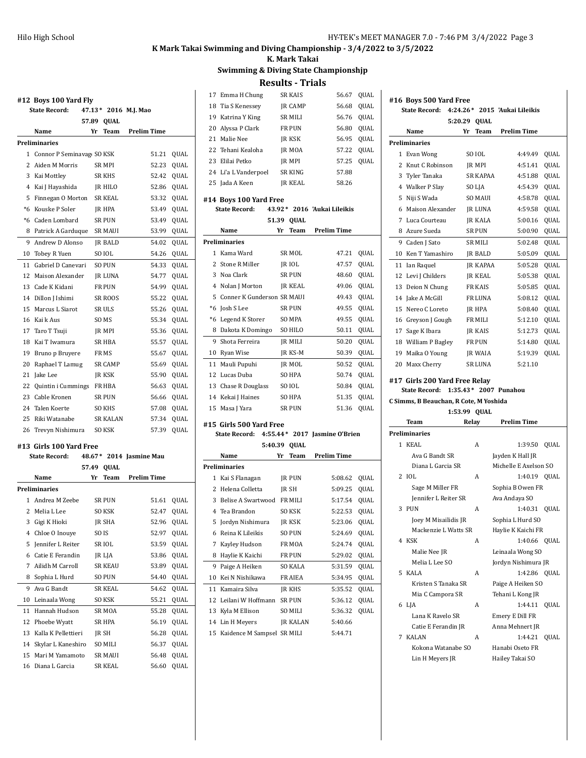### **K. Mark Takai**

**Swimming & Diving State Championshjp**

**Results - Trials**

|    | #12 Boys 100 Yard Fly<br><b>State Record:</b> |       |                  | 47.13* 2016 M.J. Mao    |             |
|----|-----------------------------------------------|-------|------------------|-------------------------|-------------|
|    |                                               | 57.89 | QUAL             |                         |             |
|    | Name                                          | Yr    | Team             | <b>Prelim Time</b>      |             |
|    | <b>Preliminaries</b>                          |       |                  |                         |             |
|    | 1 Connor P Seminavag SO KSK                   |       |                  | 51.21                   | QUAL        |
|    | 2 Aiden M Morris                              |       | SR MPI           | 52.23                   | QUAL        |
|    | 3 Kai Mottley                                 |       | <b>SR KHS</b>    | 52.42                   | QUAL        |
|    | 4 Kai J Hayashida                             |       | JR HILO          | 52.86                   | QUAL        |
|    | 5 Finnegan O Morton                           |       | <b>SR KEAL</b>   | 53.32                   | QUAL        |
|    | *6 Kouske P Soler                             |       | JR HPA           | 53.49                   | QUAL        |
|    | *6 Caden Lombard                              |       | <b>SR PUN</b>    | 53.49                   | QUAL        |
|    | 8 Patrick A Garduque                          |       | <b>SR MAUI</b>   | 53.99                   | QUAL        |
|    | 9 Andrew D Alonso                             |       | <b>IR BALD</b>   | 54.02                   | QUAL        |
|    | 10 Tobey R Yuen                               |       | SO IOL           | 54.26                   | QUAL        |
|    | 11 Gabriel D Canevari                         |       | <b>SO PUN</b>    | 54.33                   | QUAL        |
|    | 12 Maison Alexander                           |       | JR LUNA          | 54.77                   | QUAL        |
|    | 13 Cade K Kidani                              |       | <b>FR PUN</b>    | 54.99                   | QUAL        |
|    | 14 Dillon J Ishimi                            |       | <b>SR ROOS</b>   | 55.22                   | QUAL        |
|    | 15 Marcus L Siarot                            |       | <b>SRULS</b>     | 55.26                   | QUAL        |
|    | 16 Kai k Aus                                  |       | SO MS            | 55.34                   | QUAL        |
|    | 17 Taro T Tsuji                               |       | JR MPI           | 55.36                   | QUAL        |
|    | 18 Kai T Iwamura                              |       | <b>SR HBA</b>    | 55.57                   | QUAL        |
|    | 19 Bruno p Bruyere                            |       | FR MS            | 55.67                   | QUAL        |
|    |                                               |       | <b>SR CAMP</b>   | 55.69                   | <b>OUAL</b> |
|    | 20 Raphael T Lamug                            |       |                  |                         |             |
|    | 21 Jake Lee                                   |       | JR KSK           | 55.90                   | QUAL        |
|    | 22 Quintin i Cummings                         |       | FR HBA           | 56.63                   | QUAL        |
|    | 23 Cable Kronen                               |       | <b>SR PUN</b>    | 56.66                   | QUAL        |
|    | 24 Talen Koerte                               |       | <b>SO KHS</b>    | 57.08                   | QUAL        |
|    | 25 Riki Watanabe                              |       | <b>SR KALAN</b>  | 57.34                   | QUAL        |
|    | 26 Trevyn Nishimura                           |       | SO KSK           | 57.39                   | QUAL        |
|    | #13 Girls 100 Yard Free                       |       |                  |                         |             |
|    | <b>State Record:</b>                          |       |                  | 48.67* 2014 Jasmine Mau |             |
|    |                                               |       | 57.49 QUAL       |                         |             |
|    | Name                                          | Yr    | <b>Team</b>      | <b>Prelim Time</b>      |             |
|    | <b>Preliminaries</b>                          |       |                  |                         |             |
|    | 1 Andrea M Zeebe                              |       | <b>SR PUN</b>    | 51.61                   | QUAL        |
|    | 2 Melia L Lee                                 |       | <b>SO KSK</b>    | 52.47                   | QUAL        |
|    | 3 Gigi K Hioki                                |       | JR SHA           | 52.96                   | QUAL        |
|    | 4 Chloe O Inouye                              |       | SO <sub>IS</sub> | 52.97                   | QUAL        |
|    | 5 Jennifer L Reiter                           |       | SR IOL           | 53.59                   | QUAL        |
|    | 6 Catie E Ferandin                            |       | JR LJA           | 53.86                   | QUAL        |
|    | 7 Ailidh M Carroll                            |       | SR KEAU          | 53.89                   | QUAL        |
|    |                                               |       | SO PUN           | 54.40                   | QUAL        |
|    | 8 Sophia L Hurd                               |       |                  | 54.62                   |             |
|    | 9 Ava G Bandt                                 |       | <b>SR KEAL</b>   |                         | QUAL        |
|    | 10 Leinaala Wong                              |       | SO KSK           | 55.21                   | QUAL        |
| 11 | Hannah Hudson                                 |       | SR MOA           | 55.28                   | QUAL        |
|    | 12 Phoebe Wyatt                               |       | SR HPA           | 56.19                   | QUAL        |
|    | 13 Kalla K Pellettieri                        |       | JR SH            | 56.28                   | QUAL        |
|    | 14 Skylar L Kaneshiro                         |       | SO MILI          | 56.37                   | QUAL        |
|    | 15 Mari M Yamamoto                            |       | SR MAUI          | 56.48                   | QUAL        |

| 17             | Emma H Chung                                   |    | <b>SR KAIS</b>   | 56.67                       | QUAL                |
|----------------|------------------------------------------------|----|------------------|-----------------------------|---------------------|
|                | 18 Tia S Kenessey                              |    | JR CAMP          | 56.68                       | QUAL                |
|                | 19 Katrina Y King                              |    | <b>SR MILI</b>   | 56.76                       | QUAL                |
|                | 20 Alyssa P Clark                              |    | <b>FR PUN</b>    | 56.80                       | QUAL                |
|                | 21 Malie Nee                                   |    | JR KSK           | 56.95                       | QUAL                |
| 22             | Tehani Kealoha                                 |    | JR MOA           | 57.22                       | QUAL                |
|                | 23 Elilai Petko                                |    | JR MPI           | 57.25                       | QUAL                |
|                | 24 Li'a L Vanderpoel                           |    | SR KING          | 57.88                       |                     |
|                | 25 Jada A Keen                                 |    | JR KEAL          | 58.26                       |                     |
|                |                                                |    |                  |                             |                     |
|                | #14 Boys 100 Yard Free<br><b>State Record:</b> |    |                  | 43.92* 2016 'Aukai Lileikis |                     |
|                | 51.39                                          |    | <b>QUAL</b>      |                             |                     |
|                | Name                                           | Yr | Team             | <b>Prelim Time</b>          |                     |
|                | <b>Preliminaries</b>                           |    |                  |                             |                     |
| 1              | Kama Ward                                      |    | SR MOL           | 47.21                       | QUAL                |
| $\overline{c}$ | Stone R Miller                                 |    | JR IOL           | 47.57                       | QUAL                |
|                | 3 Noa Clark                                    |    | SR PUN           | 48.60                       | QUAL                |
|                | 4 Nolan J Morton                               |    | <b>IR KEAL</b>   | 49.06                       | QUAL                |
| 5              | Conner K Gunderson SR MAUI                     |    |                  | 49.43                       | QUAL                |
|                | *6 Josh S Lee                                  |    | <b>SR PUN</b>    | 49.55                       | QUAL                |
|                | *6 Legend K Storer                             |    | SO MPA           | 49.55                       | QUAL                |
|                | 8 Dakota K Domingo                             |    | SO HILO          | 50.11                       | QUAL                |
| 9              | Shota Ferreira                                 |    | JR MILI          | 50.20                       |                     |
|                | 10 Ryan Wise                                   |    | JR KS-M          | 50.39                       | QUAL<br><b>QUAL</b> |
|                |                                                |    |                  |                             |                     |
|                | 11 Mauli Pupuhi<br>12 Lucas Duba               |    | JR MOL<br>SO HPA | 50.52                       | QUAL                |
|                |                                                |    |                  | 50.74                       | QUAL                |
|                | 13 Chase R Douglass                            |    | SO IOL           | 50.84                       | QUAL                |
|                | 14 Kekai J Haines                              |    | <b>SO HPA</b>    | 51.35                       | QUAL                |
| 15             | Masa J Yara                                    |    | SR PUN           | 51.36                       | QUAL                |
|                | #15 Girls 500 Yard Free                        |    |                  |                             |                     |
|                | State Record: 4:55.44*                         |    |                  | 2017 Jasmine O'Brien        |                     |
|                | 5:40.39                                        |    | QUAL             |                             |                     |
|                | Name                                           | Yr | Team             | <b>Prelim Time</b>          |                     |
|                | Preliminaries                                  |    |                  |                             |                     |
|                | 1 Kai S Flanagan                               |    | JR PUN           | 5:08.62                     | QUAL                |
|                | 2 Helena Colletta                              |    | <b>IRSH</b>      | 5:09.25                     | QUAL                |
|                | 3 Belise A Swartwood FR MILI                   |    |                  | 5:17.54                     | QUAL                |
| 4              | Tea Brandon                                    |    | <b>SO KSK</b>    | 5:22.53                     | QUAL                |
|                | 5 Jordyn Nishimura                             |    | JR KSK           | 5:23.06                     | QUAL                |
|                | 6 Reina K Lileikis                             |    | SO PUN           | 5:24.69                     | QUAL                |
| 7              | Kayley Hudson                                  |    | FR MOA           | 5:24.74                     | QUAL                |
| 8              | Haylie K Kaichi                                |    | FR PUN           | 5:29.02                     | QUAL                |
| 9              | Paige A Heiken                                 |    | <b>SO KALA</b>   | 5:31.59                     | QUAL                |
| 10             | Kei N Nishikawa                                |    | FR AIEA          | 5:34.95                     | QUAL                |
| 11             | Kamaira Silva                                  |    | <b>IR KHS</b>    | 5:35.52                     | QUAL                |
| 12             | Leilani W Hoffmann                             |    | <b>SR PUN</b>    | 5:36.12                     | QUAL                |
|                | 13 Kyla M Ellison                              |    | SO MILI          | 5:36.32                     | QUAL                |
|                | 14 Lin H Meyers                                |    | JR KALAN         | 5:40.66                     |                     |
| 15             | Kaidence M Sampsel SR MILI                     |    |                  | 5:44.71                     |                     |
|                |                                                |    |                  |                             |                     |

| #16 Boys 500 Yard Free |                                        |                |                               |      |  |  |  |
|------------------------|----------------------------------------|----------------|-------------------------------|------|--|--|--|
|                        | <b>State Record:</b>                   |                | 4:24.26* 2015 'Aukai Lileikis |      |  |  |  |
|                        | 5:20.29                                | <b>QUAL</b>    |                               |      |  |  |  |
|                        | Name                                   | Yr<br>Team     | <b>Prelim Time</b>            |      |  |  |  |
|                        | Preliminaries                          |                |                               |      |  |  |  |
|                        | 1 Evan Wong                            | <b>SO IOL</b>  | 4:49.49                       | QUAL |  |  |  |
|                        | 2 Knut C Robinson                      | JR MPI         | 4:51.41                       | QUAL |  |  |  |
|                        | 3 Tyler Tanaka                         | SR KAPAA       | 4:51.88                       | QUAL |  |  |  |
|                        | 4 Walker P Slay                        | SO LJA         | 4:54.39                       | QUAL |  |  |  |
|                        | 5 Niji S Wada                          | SO MAUI        | 4:58.78                       | QUAL |  |  |  |
|                        | 6 Maison Alexander                     | JR LUNA        | 4:59.58                       | QUAL |  |  |  |
|                        | 7 Luca Courteau                        | <b>JR KALA</b> | 5:00.16                       | QUAL |  |  |  |
|                        | 8 Azure Sueda                          | SR PUN         | 5:00.90                       | QUAL |  |  |  |
|                        | 9 Caden J Sato                         | SR MILI        | 5:02.48                       | QUAL |  |  |  |
|                        | 10 Ken T Yamashiro                     | <b>JR BALD</b> | 5:05.09                       | QUAL |  |  |  |
|                        | 11 Ian Raquel                          | JR KAPAA       | 5:05.28                       | QUAL |  |  |  |
|                        | 12 Levi J Childers                     | <b>IR KEAL</b> | 5:05.38                       | QUAL |  |  |  |
|                        | 13 Deion N Chung                       | <b>FR KAIS</b> | 5:05.85                       | QUAL |  |  |  |
|                        | 14 Jake A McGill                       | FR LUNA        | 5:08.12                       | QUAL |  |  |  |
| 15                     | Nereo C Loreto                         |                |                               |      |  |  |  |
|                        |                                        | JR HPA         | 5:08.40                       | QUAL |  |  |  |
|                        | 16 Greyson J Gough                     | FR MILI        | 5:12.10                       | QUAL |  |  |  |
|                        | 17 Sage K Ibara                        | <b>JR KAIS</b> | 5:12.73                       | QUAL |  |  |  |
|                        | 18 William P Bagley                    | <b>FR PUN</b>  | 5:14.80                       | QUAL |  |  |  |
|                        | 19 Maika O Young                       | JR WAIA        | 5:19.39                       | QUAL |  |  |  |
|                        | 20 Maxx Cherry                         | SR LUNA        | 5:21.10                       |      |  |  |  |
|                        | #17  Girls 200 Yard Free Relay         |                |                               |      |  |  |  |
|                        | <b>State Record:</b>                   |                | 1:35.43* 2007 Punahou         |      |  |  |  |
|                        | C Simms, B Beauchan, R Cote, M Yoshida |                |                               |      |  |  |  |
|                        |                                        | 1:53.99 QUAL   |                               |      |  |  |  |
|                        | Team                                   | Relay          | <b>Prelim Time</b>            |      |  |  |  |
|                        | <b>Preliminaries</b>                   |                |                               |      |  |  |  |
|                        | 1 KEAL                                 | Α              | 1:39.50                       | QUAL |  |  |  |
|                        | Ava G Bandt SR                         |                | Jayden K Hall JR              |      |  |  |  |
|                        | Diana L Garcia SR                      |                | Michelle E Axelson SO         |      |  |  |  |
|                        | 2 IOL                                  | Α              | 1:40.19 QUAL                  |      |  |  |  |
|                        | Sage M Miller FR                       |                | Sophia B Owen FR              |      |  |  |  |
|                        | Jennifer L Reiter SR                   |                | Ava Andaya SO                 |      |  |  |  |
| 3                      | PUN                                    | Α              | 1:40.31 QUAL                  |      |  |  |  |
|                        | Joey M Misailidis JR                   |                | Sophia L Hurd SO              |      |  |  |  |
|                        | Mackenzie L Watts SR                   |                | Haylie K Kaichi FR            |      |  |  |  |
|                        | 4 KSK                                  | Α              | 1:40.66 QUAL                  |      |  |  |  |
|                        | Malie Nee JR                           |                | Leinaala Wong SO              |      |  |  |  |
|                        | Melia L Lee SO                         |                | Jordyn Nishimura JR           |      |  |  |  |
| 5                      | KALA                                   | A              | 1:42.86 QUAL                  |      |  |  |  |
|                        | Kristen S Tanaka SR                    |                | Paige A Heiken SO             |      |  |  |  |
|                        | Mia C Campora SR                       |                | Tehani L Kong JR              |      |  |  |  |
|                        | 6 LJA                                  | Α              | 1:44.11                       | QUAL |  |  |  |
|                        | Lana K Ravelo SR                       |                | Emery E Dill FR               |      |  |  |  |
|                        | Catie E Ferandin JR                    |                | Anna Mehnert JR               |      |  |  |  |

 KALAN A 1:44.21 QUAL Kokona Watanabe SO Hanabi Oseto FR Lin H Meyers JR Hailey Takai SO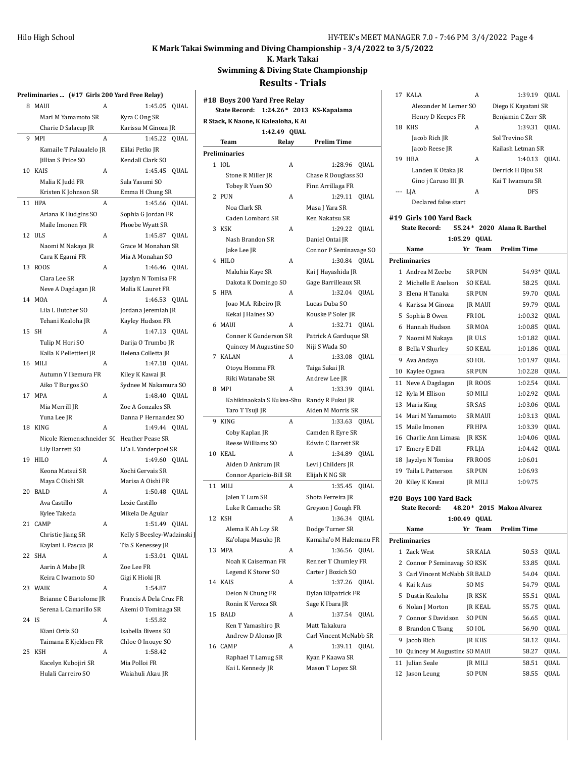**K. Mark Takai**

**Swimming & Diving State Championshjp**

|       | Preliminaries  (#17 Girls 200 Yard Free Relay) |   |                                          |
|-------|------------------------------------------------|---|------------------------------------------|
|       | 8 MAUI                                         | А | 1:45.05<br>QUAL                          |
|       | Mari M Yamamoto SR                             |   | Kyra C Ong SR                            |
|       | Charie D Salacup JR                            |   | Karissa M Ginoza JR                      |
| 9     | MPI                                            | A | 1:45.22<br>QUAL                          |
|       | Kamaile T Palaualelo JR                        |   | Elilai Petko JR                          |
|       | Jillian S Price SO                             |   | Kendall Clark SO                         |
|       | 10 KAIS                                        | A | 1:45.45<br>QUAL                          |
|       | Malia K Judd FR                                |   | Sala Yasumi SO                           |
|       | Kristen K Johnson SR                           |   | Emma H Chung SR                          |
|       | 11 HPA                                         | A | 1:45.66 QUAL                             |
|       | Ariana K Hudgins SO                            |   | Sophia G Jordan FR                       |
|       | Maile Imonen FR                                |   | Phoebe Wyatt SR                          |
|       | 12 ULS                                         | A | 1:45.87 QUAL                             |
|       | Naomi M Nakaya JR                              |   | Grace M Monahan SR                       |
|       | Cara K Egami FR                                |   | Mia A Monahan SO                         |
|       | 13 ROOS                                        | A | 1:46.46 QUAL                             |
|       |                                                |   |                                          |
|       | Clara Lee SR                                   |   | Jayzlyn N Tomisa FR<br>Malia K Lauret FR |
|       | Neve A Dagdagan JR<br>14 MOA                   |   |                                          |
|       |                                                | A | 1:46.53<br><b>QUAL</b>                   |
|       | Lila L Butcher SO                              |   | Jordana Jeremiah JR                      |
|       | Tehani Kealoha JR<br>15 SH                     |   | Kayley Hudson FR                         |
|       |                                                | A | 1:47.13 OUAL                             |
|       | Tulip M Hori SO                                |   | Darija O Trumbo JR                       |
|       | Kalla K Pellettieri JR                         |   | Helena Colletta JR                       |
|       | 16 MILI                                        | A | 1:47.18 QUAL                             |
|       | Autumn Y Ikemura FR                            |   | Kiley K Kawai JR                         |
|       | Aiko T Burgos SO                               |   | Sydnee M Nakamura SO                     |
|       | 17 MPA                                         | A | 1:48.40 QUAL                             |
|       | Mia Merrill JR                                 |   | Zoe A Gonzales SR                        |
|       | Yuna Lee JR                                    |   | Danna P Hernandez SO                     |
|       | 18 KING                                        | A | 1:49.44 QUAL                             |
|       | Nicole Riemenschneider SC                      |   | Heather Pease SR                         |
|       | Lily Barrett SO                                |   | Li'a L Vanderpoel SR                     |
|       | 19 HILO                                        | A | 1:49.60 QUAL                             |
|       | Keona Matsui SR                                |   | Xochi Gervais SR                         |
|       | Maya C Oishi SR                                |   | Marisa A Oishi FR                        |
|       | 20 BALD                                        | A | 1:50.48<br>QUAL                          |
|       | Ava Castillo                                   |   | Lexie Castillo                           |
|       | Kylee Takeda                                   |   | Mikela De Aguiar                         |
|       | 21 CAMP                                        | A | 1:51.49<br>QUAL                          |
|       | Christie Jiang SR                              |   | Kelly S Beesley-Wadzinski                |
|       | Kaylani L Pascua JR                            |   | Tia S Kenessey JR                        |
|       | 22 SHA                                         | A | 1:53.01<br>QUAL                          |
|       | Aarin A Mabe JR                                |   | Zoe Lee FR                               |
|       | Keira C Iwamoto SO                             |   | Gigi K Hioki JR                          |
|       | 23 WAIK                                        | A | 1:54.87                                  |
|       | Brianne C Bartolome JR                         |   | Francis A Dela Cruz FR                   |
|       | Serena L Camarillo SR                          |   | Akemi O Tominaga SR                      |
| 24 IS |                                                | A | 1:55.82                                  |
|       | Kiani Ortiz SO                                 |   | Isabella Bivens SO                       |
|       | Taimana E Kjeldsen FR                          |   | Chloe O Inouye SO                        |
| 25    | <b>KSH</b>                                     | A | 1:58.42                                  |
|       | Kacelyn Kubojiri SR                            |   | Mia Polloi FR                            |
|       | Hulali Carreiro SO                             |   | Waiahuli Akau JR                         |
|       |                                                |   |                                          |

|                                     | #18 Boys 200 Yard Free Relay<br><b>State Record:</b><br>$1:24.26*$ |              | 2013 KS-Kapalama       |             |  |  |  |
|-------------------------------------|--------------------------------------------------------------------|--------------|------------------------|-------------|--|--|--|
| R Stack, K Naone, K Kalealoha, K Ai |                                                                    |              |                        |             |  |  |  |
|                                     |                                                                    | 1:42.49 QUAL |                        |             |  |  |  |
|                                     | Team                                                               | Relay        | <b>Prelim Time</b>     |             |  |  |  |
|                                     | Preliminaries                                                      |              |                        |             |  |  |  |
|                                     | 1 IOL                                                              | A            | 1:28.96                | QUAL        |  |  |  |
|                                     | Stone R Miller JR                                                  |              | Chase R Douglass SO    |             |  |  |  |
|                                     | Tobey R Yuen SO                                                    |              | Finn Arrillaga FR      |             |  |  |  |
| 2                                   | PUN                                                                | A            | 1:29.11                | QUAL        |  |  |  |
|                                     | Noa Clark SR                                                       |              | Masa J Yara SR         |             |  |  |  |
|                                     | Caden Lombard SR                                                   |              | Ken Nakatsu SR         |             |  |  |  |
| 3                                   | KSK                                                                | A            | 1:29.22                | QUAL        |  |  |  |
|                                     | Nash Brandon SR                                                    |              | Daniel Ontai JR        |             |  |  |  |
|                                     | Jake Lee JR                                                        |              | Connor P Seminavage SO |             |  |  |  |
|                                     | 4 HILO                                                             | A            | 1:30.84                | QUAL        |  |  |  |
|                                     | Maluhia Kaye SR                                                    |              | Kai J Hayashida JR     |             |  |  |  |
|                                     | Dakota K Domingo SO                                                |              | Gage Barrilleaux SR    |             |  |  |  |
| 5                                   | HPA                                                                | A            | 1:32.04 QUAL           |             |  |  |  |
|                                     | Joao M.A. Ribeiro JR                                               |              | Lucas Duba SO          |             |  |  |  |
|                                     | Kekai J Haines SO                                                  |              | Kouske P Soler JR      |             |  |  |  |
| 6                                   | MAUI                                                               | A            | 1:32.71                | QUAL        |  |  |  |
|                                     | Conner K Gunderson SR                                              |              | Patrick A Garduque SR  |             |  |  |  |
|                                     | Quincey M Augustine SO                                             |              | Niji S Wada SO         |             |  |  |  |
| 7                                   | <b>KALAN</b>                                                       | A            | 1:33.08                | QUAL        |  |  |  |
|                                     | Otoyu Homma FR                                                     |              | Taiga Sakai JR         |             |  |  |  |
|                                     | Riki Watanabe SR                                                   |              | Andrew Lee JR          |             |  |  |  |
| 8                                   | MPI                                                                | A            | 1:33.39                | QUAL        |  |  |  |
|                                     | Kahikinaokala S Kukea-Shu                                          |              | Randy R Fukui JR       |             |  |  |  |
|                                     | Taro T Tsuji JR                                                    |              | Aiden M Morris SR      |             |  |  |  |
| 9                                   | <b>KING</b>                                                        | A            | 1:33.63                | QUAL        |  |  |  |
|                                     | Coby Kaplan JR                                                     |              | Camden R Eyre SR       |             |  |  |  |
|                                     | Reese Williams SO                                                  |              | Edwin C Barrett SR     |             |  |  |  |
|                                     | 10 KEAL                                                            | A            | 1:34.89 QUAL           |             |  |  |  |
|                                     | Aiden D Ankrum JR                                                  |              | Levi J Childers JR     |             |  |  |  |
|                                     | Connor Aparicio-Bill SR                                            |              | Elijah K NG SR         |             |  |  |  |
| 11                                  | MILI                                                               | A            | 1:35.45                | <b>OUAL</b> |  |  |  |
|                                     | Jalen T Lum SR                                                     |              | Shota Ferreira JR      |             |  |  |  |
|                                     | Luke R Camacho SR                                                  |              | Greyson J Gough FR     |             |  |  |  |
| 12                                  | KSH                                                                | Α            | 1:36.34                | QUAL        |  |  |  |
|                                     | Alema K Ah Loy SR                                                  |              | Dodge Turner SR        |             |  |  |  |
|                                     | Ka'olapa Masuko JR                                                 |              | Kamaha'o M Halemanu FR |             |  |  |  |
| 13                                  | <b>MPA</b>                                                         | A            | 1:36.56                | QUAL        |  |  |  |
|                                     | Noah K Caiserman FR                                                |              | Renner T Chumley FR    |             |  |  |  |
|                                     | Legend K Storer SO                                                 |              | Carter J Bozich SO     |             |  |  |  |
| 14                                  | <b>KAIS</b>                                                        | A            | 1:37.26                | QUAL        |  |  |  |
|                                     | Deion N Chung FR                                                   |              | Dylan Kilpatrick FR    |             |  |  |  |
|                                     | Ronin K Veroza SR                                                  |              | Sage K Ibara JR        |             |  |  |  |
| 15                                  | <b>BALD</b>                                                        | A            | 1:37.54                | QUAL        |  |  |  |
|                                     | Ken T Yamashiro JR                                                 |              | Matt Takakura          |             |  |  |  |
|                                     | Andrew D Alonso JR                                                 |              | Carl Vincent McNabb SR |             |  |  |  |
| 16                                  | CAMP                                                               | A            | 1:39.11 QUAL           |             |  |  |  |
|                                     | Raphael T Lamug SR                                                 |              | Kyan P Kaawa SR        |             |  |  |  |
|                                     | Kai L Kennedy JR                                                   |              | Mason T Lopez SR       |             |  |  |  |
|                                     |                                                                    |              |                        |             |  |  |  |

|                | 17 KALA                 |          | A                 | 1:39.19 QUAL          |             |
|----------------|-------------------------|----------|-------------------|-----------------------|-------------|
|                | Alexander M Lerner SO   |          |                   | Diego K Kayatani SR   |             |
|                | Henry D Keepes FR       |          |                   | Benjamin C Zerr SR    |             |
| 18             | <b>KHS</b>              |          | A                 | 1:39.31               | <b>OUAL</b> |
|                | Jacob Rich JR           |          |                   | Sol Trevino SR        |             |
|                | Jacob Reese JR          |          |                   | Kailash Letman SR     |             |
| 19             | <b>HBA</b>              |          | A                 | 1:40.13               | QUAL        |
|                | Landen K Otaka JR       |          |                   | Derrick H Djou SR     |             |
|                | Gino j Caruso III JR    |          |                   | Kai T Iwamura SR      |             |
|                | --- LJA                 |          | A                 | <b>DFS</b>            |             |
|                | Declared false start    |          |                   |                       |             |
|                | #19 Girls 100 Yard Back |          |                   |                       |             |
|                | <b>State Record:</b>    | $55.24*$ |                   | 2020 Alana R. Barthel |             |
|                | 1:05.29                 |          | <b>QUAL</b>       |                       |             |
|                | Name                    | Yr       | Team              | <b>Prelim Time</b>    |             |
|                | <b>Preliminaries</b>    |          |                   |                       |             |
| 1              | Andrea M Zeebe          |          | <b>SR PUN</b>     | 54.93* QUAL           |             |
| $\overline{c}$ | Michelle E Axelson      |          | <b>SO KEAL</b>    | 58.25                 | QUAL        |
| 3              | Elena H Tanaka          |          | <b>SR PUN</b>     | 59.70                 | QUAL        |
| 4              | Karissa M Ginoza        |          | <b>JR MAUI</b>    | 59.79                 | QUAL        |
| 5              | Sophia B Owen           |          | FR <sub>IOL</sub> | 1:00.32               | QUAL        |
| 6              | Hannah Hudson           |          | <b>SRMOA</b>      | 1:00.85               | QUAL        |
| 7              | Naomi M Nakaya          |          | JR ULS            | 1:01.82               | QUAL        |
| 8              | <b>Bella V Shurley</b>  |          | <b>SO KEAL</b>    | 1:01.86               | QUAL        |
| 9              | Ava Andaya              |          | SO <sub>IOL</sub> | 1:01.97               | QUAL        |
| 10             | Kaylee Ogawa            |          | <b>SR PUN</b>     | 1:02.28               | QUAL        |
| 11             | Neve A Dagdagan         |          | JR ROOS           | 1:02.54               | QUAL        |
| 12             | Kyla M Ellison          |          | <b>SO MILI</b>    | 1:02.92               | QUAL        |
| 13             | Maria King              |          | <b>SR SAS</b>     | 1:03.06               | QUAL        |
| 14             | Mari M Yamamoto         |          | <b>SR MAUI</b>    | 1:03.13               | QUAL        |
| 15             | Maile Imonen            |          | FR HPA            | 1:03.39               | QUAL        |
| 16             | Charlie Ann Limasa      |          | JR KSK            | 1:04.06               | QUAL        |
| 17             | Emery E Dill            |          | FR LJA            | 1:04.42               | QUAL        |
| 18             | Jayzlyn N Tomisa        |          | FR ROOS           | 1:06.01               |             |
|                | 19 Taila L Patterson    |          | <b>SR PUN</b>     | 1:06.93               |             |
| 20             | Kiley K Kawai           |          | JR MILI           | 1:09.75               |             |
|                | #20 Boys 100 Yard Back  |          |                   |                       |             |
|                | <b>State Record:</b>    | 48.20*   |                   | 2015 Makoa Alvarez    |             |
|                | 1:00.49                 |          | QUAL              |                       |             |
|                | Name                    | Yr       | <b>Team</b>       | <b>Prelim Time</b>    |             |
|                | Preliminaries           |          |                   |                       |             |
|                | 1 Zack West             |          | <b>SR KALA</b>    | 50.53                 | QUAL        |
|                |                         |          |                   |                       |             |

| <b>Preliminaries</b> |    |                               |  |                |       |             |  |
|----------------------|----|-------------------------------|--|----------------|-------|-------------|--|
|                      |    | 1 Zack West                   |  | <b>SR KALA</b> | 50.53 | <b>OUAL</b> |  |
|                      |    | 2 Connor P Seminavag SO KSK   |  |                | 53.85 | <b>OUAL</b> |  |
|                      |    | 3 Carl Vincent McNabh SR BALD |  |                | 54.04 | <b>QUAL</b> |  |
|                      | 4  | Kai k Aus                     |  | SO MS          | 54.79 | <b>QUAL</b> |  |
|                      |    | 5 Dustin Kealoha              |  | IR KSK         | 55.51 | <b>OUAL</b> |  |
|                      | 6. | Nolan J Morton                |  | IR KEAL        | 55.75 | <b>OUAL</b> |  |
|                      |    | 7 Connor S Davidson           |  | <b>SO PUN</b>  | 56.65 | <b>QUAL</b> |  |
|                      | 8  | Brandon C Tsang               |  | SO JOL         | 56.90 | <b>OUAL</b> |  |
|                      | 9  | Jacob Rich                    |  | <b>IR KHS</b>  | 58.12 | <b>OUAL</b> |  |
|                      | 10 | Quincey M Augustine SO MAUI   |  |                | 58.27 | <b>OUAL</b> |  |
|                      |    | 11 Julian Seale               |  | <b>JR MILI</b> | 58.51 | <b>OUAL</b> |  |
|                      |    | 12 Jason Leung                |  | <b>SO PUN</b>  | 58.55 | OUAL        |  |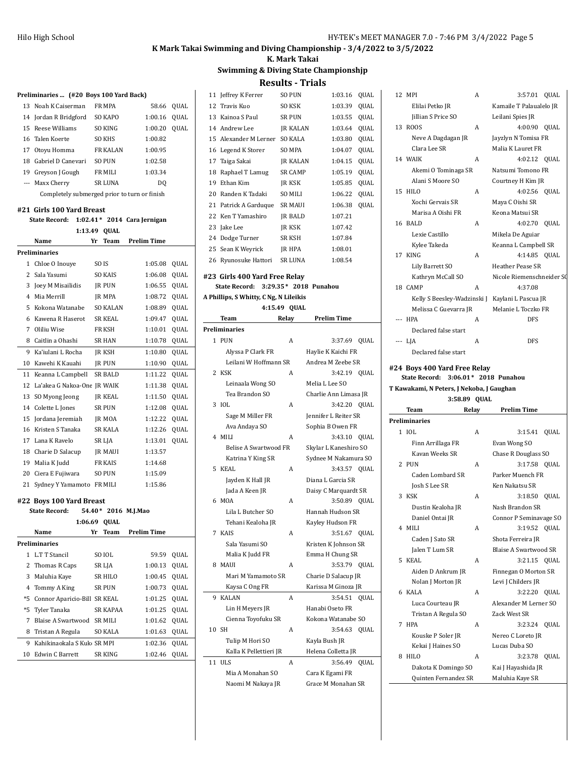#### **K. Mark Takai**

# **Swimming & Diving State Championshjp**

|                          |                                              |                     |                    |              |    | ncəunə                                 |                | 111013                            |      |
|--------------------------|----------------------------------------------|---------------------|--------------------|--------------|----|----------------------------------------|----------------|-----------------------------------|------|
|                          | Preliminaries  (#20 Boys 100 Yard Back)      |                     |                    |              |    | 11 Jeffrey K Ferrer                    | <b>SO PUN</b>  | 1:03.16 QUAL                      |      |
|                          | 13 Noah K Caiserman                          | FR MPA              | 58.66              | QUAL         |    | 12 Travis Kuo                          | SO KSK         | 1:03.39                           | QUAL |
|                          | 14 Jordan R Bridgford                        | SO KAPO             | 1:00.16            | QUAL         |    | 13 Kainoa S Paul                       | <b>SR PUN</b>  | 1:03.55                           | QUAL |
|                          | 15 Reese Williams                            | SO KING             | 1:00.20            | QUAL         |    | 14 Andrew Lee                          | JR KALAN       | 1:03.64                           | QUAL |
|                          | 16 Talen Koerte                              | <b>SO KHS</b>       | 1:00.82            |              |    | 15 Alexander M Lerner SO KALA          |                | 1:03.80                           | QUAL |
|                          | 17 Otoyu Homma                               | FR KALAN            | 1:00.95            |              |    | 16 Legend K Storer                     | <b>SO MPA</b>  | 1:04.07                           | QUAL |
|                          | 18 Gabriel D Canevari                        | <b>SO PUN</b>       | 1:02.58            |              | 17 | Taiga Sakai                            | JR KALAN       | 1:04.15                           | QUAL |
|                          | 19 Greyson J Gough                           | FR MILI             | 1:03.34            |              | 18 | Raphael T Lamug                        | SR CAMP        | 1:05.19                           | QUAL |
|                          | --- Maxx Cherry                              | SR LUNA             | DQ                 |              | 19 | Ethan Kim                              | JR KSK         | 1:05.85                           | QUAL |
|                          | Completely submerged prior to turn or finish |                     |                    |              | 20 | Randen K Tadaki                        | SO MILI        | 1:06.22                           | QUAL |
|                          |                                              |                     |                    |              |    | 21 Patrick A Garduque                  | <b>SR MAUI</b> | 1:06.38 OUAL                      |      |
|                          | #21 Girls 100 Yard Breast                    |                     |                    |              |    | 22 Ken T Yamashiro                     | JR BALD        | 1:07.21                           |      |
|                          | State Record: 1:02.41* 2014 Cara Jernigan    |                     |                    |              |    | 23 Jake Lee                            | JR KSK         | 1:07.42                           |      |
|                          |                                              | 1:13.49 QUAL        |                    |              |    | 24 Dodge Turner                        | SR KSH         | 1:07.84                           |      |
|                          | Name                                         | <b>Team</b><br>Yr   | <b>Prelim Time</b> |              |    | 25 Sean K Weyrick                      | JR HPA         | 1:08.01                           |      |
|                          | <b>Preliminaries</b>                         |                     |                    |              |    | 26 Ryunosuke Hattori                   | SR LUNA        | 1:08.54                           |      |
|                          | 1 Chloe O Inouye                             | SO IS               | 1:05.08 QUAL       |              |    |                                        |                |                                   |      |
|                          | 2 Sala Yasumi                                | <b>SO KAIS</b>      | 1:06.08 QUAL       |              |    | #23 Girls 400 Yard Free Relay          |                |                                   |      |
|                          | 3 Joey M Misailidis                          | JR PUN              | 1:06.55 QUAL       |              |    | State Record: 3:29.35* 2018 Punahou    |                |                                   |      |
|                          | 4 Mia Merrill                                | JR MPA              | 1:08.72 QUAL       |              |    | A Phillips, S Whitty, C Ng, N Lileikis |                |                                   |      |
|                          | 5 Kokona Watanabe                            | <b>SO KALAN</b>     | 1:08.89 QUAL       |              |    | <b>Team</b>                            | 4:15.49 QUAL   | <b>Prelim Time</b>                |      |
|                          | 6 Kawena R Haserot                           | <b>SR KEAL</b>      | 1:09.47 OUAL       |              |    |                                        | Relay          |                                   |      |
|                          | 7 Oliliu Wise                                | FR KSH              | 1:10.01 QUAL       |              |    | <b>Preliminaries</b>                   |                |                                   |      |
|                          | 8 Caitlin a Ohashi                           | SR HAN              | 1:10.78 QUAL       |              |    | 1 PUN                                  | A              | 3:37.69 QUAL                      |      |
|                          | 9 Ka'iulani L Rocha                          | JR KSH              | 1:10.80            | <b>QUAL</b>  |    | Alyssa P Clark FR                      |                | Haylie K Kaichi FR                |      |
|                          | 10 Kawehi K Kauahi                           | JR PUN              | 1:10.90 QUAL       |              |    | Leilani W Hoffmann SR<br>2 KSK         | Α              | Andrea M Zeebe SR<br>3:42.19 QUAL |      |
|                          | 11 Keanna L Campbell                         | <b>SR BALD</b>      | 1:11.22            | QUAL         |    | Leinaala Wong SO                       |                | Melia L Lee SO                    |      |
|                          | 12 La'akea G Nakoa-One JR WAIK               |                     | 1:11.38            | QUAL         |    | Tea Brandon SO                         |                | Charlie Ann Limasa JR             |      |
|                          | 13 SO Myong Jeong                            | <b>JR KEAL</b>      | 1:11.50            | QUAL         |    | 3 IOL                                  | A              | 3:42.20 QUAL                      |      |
|                          | 14 Colette L Jones                           | SR PUN              | 1:12.08            | QUAL         |    | Sage M Miller FR                       |                | Jennifer L Reiter SR              |      |
|                          | 15 Jordana Jeremiah                          | JR MOA              | 1:12.22            | QUAL         |    | Ava Andaya SO                          |                | Sophia B Owen FR                  |      |
|                          | 16 Kristen S Tanaka                          | SR KALA             | 1:12.26            | QUAL         |    | 4 MILI                                 | A              | 3:43.10 QUAL                      |      |
|                          | 17 Lana K Ravelo                             | SR LJA              | 1:13.01 QUAL       |              |    | <b>Belise A Swartwood FR</b>           |                | Skylar L Kaneshiro SO             |      |
|                          | 18 Charie D Salacup                          | JR MAUI             | 1:13.57            |              |    | Katrina Y King SR                      |                | Sydnee M Nakamura SO              |      |
|                          | 19 Malia K Judd                              | <b>FR KAIS</b>      | 1:14.68            |              |    | 5 KEAL                                 | A              | 3:43.57 OUAL                      |      |
|                          | 20 Ciera E Fujiwara                          | <b>SO PUN</b>       | 1:15.09            |              |    | Jayden K Hall JR                       |                | Diana L Garcia SR                 |      |
|                          | 21 Sydney Y Yamamoto FR MILI                 |                     | 1:15.86            |              |    | Jada A Keen JR                         |                | Daisy C Marquardt SR              |      |
| #22 Boys 100 Yard Breast |                                              |                     |                    |              |    | 6 MOA                                  | A              | 3:50.89 QUAL                      |      |
|                          | State Record:                                | 54.40* 2016 M.J.Mao |                    |              |    | Lila L Butcher SO                      |                | Hannah Hudson SR                  |      |
|                          |                                              | 1:06.69 QUAL        |                    |              |    | Tehani Kealoha JR                      |                | Kayley Hudson FR                  |      |
|                          | Name                                         | Yr<br>Team          | <b>Prelim Time</b> |              |    | 7 KAIS                                 | A              | 3:51.67 QUAL                      |      |
|                          | Preliminaries                                |                     |                    |              |    | Sala Yasumi SO                         |                | Kristen K Johnson SR              |      |
|                          | 1 L.T T Stancil                              | SO IOL              | 59.59              | QUAL         |    | Malia K Judd FR                        |                | Emma H Chung SR                   |      |
|                          | 2 Thomas R Caps                              | SR LJA              | 1:00.13            | QUAL         |    | 8 MAUI                                 | A              | 3:53.79 QUAL                      |      |
|                          | 3 Maluhia Kaye                               | <b>SR HILO</b>      | 1:00.45            | QUAL         |    | Mari M Yamamoto SR                     |                | Charie D Salacup JR               |      |
|                          | 4 Tommy A King                               | SR PUN              | 1:00.73            | QUAL         |    | Kaysa C Ong FR                         |                | Karissa M Ginoza JR               |      |
|                          | *5 Connor Aparicio-Bill SR KEAL              |                     | 1:01.25            | QUAL         |    | 9 KALAN                                | A              | 3:54.51 QUAL                      |      |
|                          |                                              | SR KAPAA            |                    | 1:01.25 QUAL |    | Lin H Meyers JR                        |                | Hanabi Oseto FR                   |      |
|                          | *5 Tyler Tanaka                              |                     |                    |              |    |                                        |                |                                   |      |
|                          | 7 Blaise A Swartwood SR MILI                 |                     | 1:01.62            | QUAL         |    | Cienna Toyofuku SR                     |                | Kokona Watanabe SO                |      |
|                          | 8 Tristan A Regula                           | <b>SO KALA</b>      | 1:01.63            | QUAL         |    | 10 SH                                  | A              | 3:54.63 QUAL                      |      |
|                          | 9 Kahikinaokala S Kuko SR MPI                |                     | 1:02.36            | QUAL         |    | Tulip M Hori SO                        |                | Kayla Bush JR                     |      |
|                          | 10 Edwin C Barrett                           | SR KING             | 1:02.46            | QUAL         |    | Kalla K Pellettieri JR<br>11 ULS       |                | Helena Colletta JR                |      |

| 13 | Kainoa S Paul                          | <b>SR PUN</b>   | 1:03.55<br>QUAL       |
|----|----------------------------------------|-----------------|-----------------------|
|    | 14 Andrew Lee                          | <b>JR KALAN</b> | 1:03.64<br>QUAL       |
|    | 15 Alexander M Lerner                  | SO KALA         | 1:03.80<br>QUAL       |
|    | 16 Legend K Storer                     | <b>SO MPA</b>   | QUAL<br>1:04.07       |
|    | 17 Taiga Sakai                         | <b>JR KALAN</b> | 1:04.15<br>QUAL       |
|    | 18 Raphael T Lamug                     | <b>SR CAMP</b>  | 1:05.19<br>QUAL       |
|    | 19 Ethan Kim                           | JR KSK          | 1:05.85<br>QUAL       |
|    | 20 Randen K Tadaki                     | <b>SO MILI</b>  | 1:06.22<br>QUAL       |
|    | 21 Patrick A Garduque                  | <b>SR MAUI</b>  | 1:06.38<br>QUAL       |
|    | 22 Ken T Yamashiro                     | JR BALD         | 1:07.21               |
|    | 23 Jake Lee                            | JR KSK          | 1:07.42               |
|    | 24 Dodge Turner                        | <b>SR KSH</b>   | 1:07.84               |
|    | 25 Sean K Weyrick                      | JR HPA          | 1:08.01               |
|    | 26 Ryunosuke Hattori                   | SR LUNA         | 1:08.54               |
|    |                                        |                 |                       |
|    | #23  Girls 400 Yard Free Relay         |                 |                       |
|    | <b>State Record:</b>                   |                 | 3:29.35* 2018 Punahou |
|    | A Phillips, S Whitty, C Ng, N Lileikis |                 |                       |
|    |                                        | 4:15.49 QUAL    |                       |
|    | Team<br>Preliminaries                  | Relay           | Prelim Time           |
|    | 1 PUN                                  | A               | 3:37.69 QUAL          |
|    | Alyssa P Clark FR                      |                 | Haylie K Kaichi FR    |
|    | Leilani W Hoffmann SR                  |                 | Andrea M Zeebe SR     |
|    | 2 KSK                                  | A               | 3:42.19 QUAL          |
|    | Leinaala Wong SO                       |                 | Melia L Lee SO        |
|    | Tea Brandon SO                         |                 | Charlie Ann Limasa JR |
| 3  | IOL                                    | A               | 3:42.20 QUAL          |
|    | Sage M Miller FR                       |                 | Jennifer L Reiter SR  |
|    | Ava Andaya SO                          |                 | Sophia B Owen FR      |
| 4  | MILI                                   | A               | QUAL<br>3:43.10       |
|    | Belise A Swartwood FR                  |                 | Skylar L Kaneshiro SO |
|    | Katrina Y King SR                      |                 | Sydnee M Nakamura SO  |
| 5  | <b>KEAL</b>                            | A               | 3:43.57 QUAL          |
|    | Jayden K Hall JR                       |                 | Diana L Garcia SR     |
|    | Jada A Keen JR                         |                 | Daisy C Marquardt SR  |
|    | 6 MOA                                  | A               | 3:50.89<br>QUAL       |
|    | Lila L Butcher SO                      |                 | Hannah Hudson SR      |
|    | Tehani Kealoha JR                      |                 | Kayley Hudson FR      |
|    | 7 KAIS                                 | A               | 3:51.67 OUAL          |
|    | Sala Yasumi SO                         |                 | Kristen K Johnson SR  |
|    | Malia K Judd FR                        |                 | Emma H Chung SR       |
| 8  | MAUI                                   | A               | 3:53.79 QUAL          |
|    | Mari M Yamamoto SR                     |                 | Charie D Salacup JR   |
|    | Kaysa C Ong FR                         |                 | Karissa M Ginoza JR   |
| 9  | <b>KALAN</b>                           | A               | 3:54.51<br>QUAL       |
|    | Lin H Meyers JR                        |                 | Hanabi Oseto FR       |
|    | Cienna Toyofuku SR                     |                 | Kokona Watanabe SO    |
| 10 | SH                                     | A               | 3:54.63 QUAL          |
|    | Tulip M Hori SO                        |                 | Kayla Bush JR         |
|    | Kalla K Pellettieri JR                 |                 | Helena Colletta JR    |
| 11 | <b>ULS</b>                             | A               | 3:56.49<br>QUAL       |
|    | Mia A Monahan SO                       |                 | Cara K Egami FR       |
|    | Naomi M Nakaya JR                      |                 | Grace M Monahan SR    |

|   | 12 MPI                                    | A | 3:57.01 QUAL              |             |
|---|-------------------------------------------|---|---------------------------|-------------|
|   | Elilai Petko JR                           |   | Kamaile T Palaualelo JR   |             |
|   | Jillian S Price SO                        |   | Leilani Spies JR          |             |
|   | 13 ROOS                                   | Α | 4:00.90 QUAL              |             |
|   | Neve A Dagdagan JR                        |   | Jayzlyn N Tomisa FR       |             |
|   | Clara Lee SR                              |   | Malia K Lauret FR         |             |
|   | 14 WAIK                                   | A | 4:02.12                   | QUAL        |
|   | Akemi O Tominaga SR                       |   | Natsumi Tomono FR         |             |
|   | Alani S Moore SO                          |   | Courtney H Kim JR         |             |
|   | 15 HILO                                   | A | 4:02.56                   | QUAL        |
|   |                                           |   |                           |             |
|   | Xochi Gervais SR                          |   | Maya C Oishi SR           |             |
|   | Marisa A Oishi FR                         |   | Keona Matsui SR           |             |
|   | 16 BALD                                   | A | 4:02.70 QUAL              |             |
|   | Lexie Castillo                            |   | Mikela De Aguiar          |             |
|   | Kylee Takeda                              |   | Keanna L Campbell SR      |             |
|   | 17 KING                                   | A | 4:14.85                   | QUAL        |
|   | Lily Barrett SO                           |   | <b>Heather Pease SR</b>   |             |
|   | Kathryn McCall SO                         |   | Nicole Riemenschneider SQ |             |
|   | 18 CAMP                                   | Α | 4:37.08                   |             |
|   | Kelly S Beesley-Wadzinski J               |   | Kaylani L Pascua JR       |             |
|   | Melissa C Guevarra JR                     |   | Melanie L Toczko FR       |             |
|   | --- HPA                                   | A | <b>DFS</b>                |             |
|   | Declared false start                      |   |                           |             |
|   | --- LJA                                   | Α | DFS                       |             |
|   | Declared false start                      |   |                           |             |
|   |                                           |   |                           |             |
|   |                                           |   |                           |             |
|   | #24 Boys 400 Yard Free Relay              |   |                           |             |
|   | <b>State Record:</b>                      |   | 3:06.01* 2018 Punahou     |             |
|   | T Kawakami, N Peters, J Nekoba, J Gaughan |   |                           |             |
|   | 3:58.89 QUAL                              |   |                           |             |
|   | Relay<br>Team                             |   | <b>Prelim Time</b>        |             |
|   | <b>Preliminaries</b>                      |   |                           |             |
|   | 1 IOL                                     | A | 3:15.41                   | QUAL        |
|   | Finn Arrillaga FR                         |   | Evan Wong SO              |             |
|   | Kavan Weeks SR                            |   | Chase R Douglass SO       |             |
|   | 2 PUN                                     | Α | 3:17.58 QUAL              |             |
|   | Caden Lombard SR                          |   | Parker Muench FR          |             |
|   |                                           |   | Ken Nakatsu SR            |             |
|   | Josh S Lee SR<br>3 KSK                    | Α |                           |             |
|   |                                           |   | 3:18.50                   | <b>QUAL</b> |
|   | Dustin Kealoha JR                         |   | Nash Brandon SR           |             |
|   | Daniel Ontai JR                           |   | Connor P Seminavage SO    |             |
|   | 4 MILI                                    | A | 3:19.52                   | QUAL        |
|   | Caden J Sato SR                           |   | Shota Ferreira JR         |             |
|   | Jalen T Lum SR                            |   | Blaise A Swartwood SR     |             |
| 5 | KEAL                                      | A | 3:21.15                   | <b>OUAL</b> |
|   | Aiden D Ankrum JR                         |   | Finnegan O Morton SR      |             |
|   | Nolan J Morton JR                         |   | Levi J Childers JR        |             |
| 6 | KALA                                      | A | 3:22.20                   | QUAL        |
|   | Luca Courteau JR                          |   | Alexander M Lerner SO     |             |
|   | Tristan A Regula SO                       |   | Zack West SR              |             |
| 7 | <b>HPA</b>                                | A | 3:23.24                   | QUAL        |
|   | Kouske P Soler JR                         |   | Nereo C Loreto JR         |             |
|   | Kekai J Haines SO                         |   | Lucas Duba SO             |             |
| 8 | HILO                                      | A | 3:23.78                   | QUAL        |
|   | Dakota K Domingo SO                       |   | Kai J Hayashida JR        |             |
|   | Quinten Fernandez SR                      |   | Maluhia Kaye SR           |             |